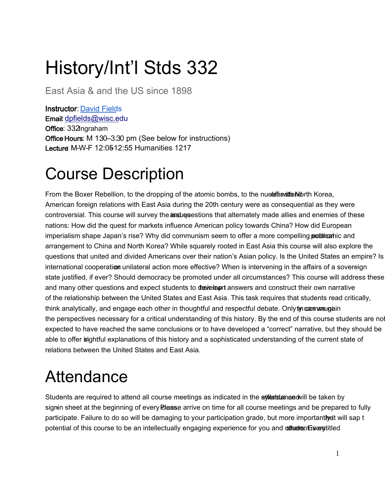# History/Int'l Stds 332

East Asia & and the US since 1898

Instructor[: David Field](https://eastasia.wisc.edu/staff/fields-david/)s Email[: dpfields@wisc.ed](mailto:dpfields@wisc.edu)u Office: 332Ingraham Office Hours: M 130–3:30 pm (See below for instructions) Lecture: M-W-F 12:05–12:55 Humanities 1217

## Course Description

From the Boxer Rebellion, to the dropping of the atomic bombs, to the nucle familian North Korea, American foreign relations with East Asia during the 20th century were as consequential as they were controversial. This course will survey the **assingues** tions that alternately made allies and enemies of these nations: How did the quest for markets influence American policy towards China? How did European imperialism shape Japan's rise? Why did communism seem to offer a more compelling **political**nic and arrangement to China and North Korea? While squarely rooted in East Asia this course will also explore the questions that united and divided Americans over their nation's Asian policy. Is the United States an empire? Is international cooperation unilateral action more effective? When is intervening in the affairs of a sovereign state justified, if ever? Should democracy be promoted under all circumstances? This course will address these and many other questions and expect students to develop t answers and construct their own narrative of the relationship between the United States and East Asia. This task requires that students read critically, think analytically, and engage each other in thoughtful and respectful debate. Only tip can we gain the perspectives necessary for a critical understanding of this history. By the end of this course students are not expected to have reached the same conclusions or to have developed a "correct" narrative, but they should be able to offer isightful explanations of this history and a sophisticated understanding of the current state of relations between the United States and East Asia.

## Attendance

Students are required to attend all course meetings as indicated in the **attention and attach by** signin sheet at the beginning of every Rlaase arrive on time for all course meetings and be prepared to fully participate. Failure to do so will be damaging to your participation grade, but more importantiveit will sap t potential of this course to be an intellectually engaging experience for you and **strue ending** super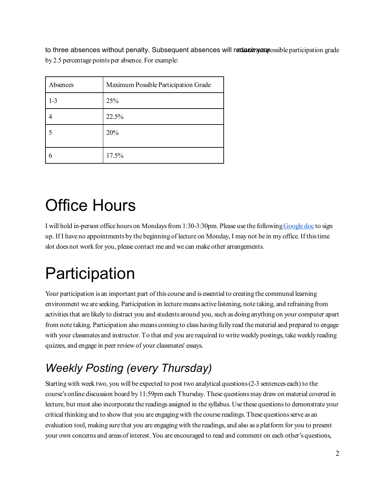to three absences without penalty. Subsequent absences will redaxented participation grade by 2.5 percentage points per absence. For example:

| Absences | Maximum Possible Participation Grade |
|----------|--------------------------------------|
| $1-3$    | 25%                                  |
|          | 22.5%                                |
|          | 20%                                  |
|          |                                      |
|          | 17.5%                                |

# Office Hours

I will hold in-person office hours on Mondays from 1:30-3:30pm. Please use the followin[gGoogle doc](https://docs.google.com/document/d/1qAnIYDQUsBNLOhjuAvgyGVI_a27-D4pcvhiZ2N1murA/edit?usp=sharing) to sign up. If I have no appointments by the beginning of lecture on Monday, I may not be in my office. If this time slot does not work for you, please contact me and we can make other arrangements.

# **Participation**

Your participation is an important part of this course and is essential to creating the communal learning environment we are seeking. Participation in lecture means active listening, note taking, and refraining from activities that are likely to distract you and students around you, such as doing anything on your computer apart from note taking. Participation also means coming to class having fully read the material and prepared to engage with your classmates and instructor. To that end you are required to write weekly postings, take weekly reading quizzes, and engage in peer review of your classmates' essays.

### *Weekly Posting (every Thursday)*

Starting with week two, you will be expected to post two analytical questions (2-3 sentences each) to the course's online discussion board by 11:59pm each Thursday. These questions may draw on material covered in lecture, but must also incorporate the readings assigned in the syllabus. Use these questions to demonstrate your critical thinking and to show that you are engaging with the course readings. These questions serve as an evaluation tool, making sure that you are engaging with the readings, and also as a platform for you to present your own concerns and areas of interest. You are encouraged to read and comment on each other's questions,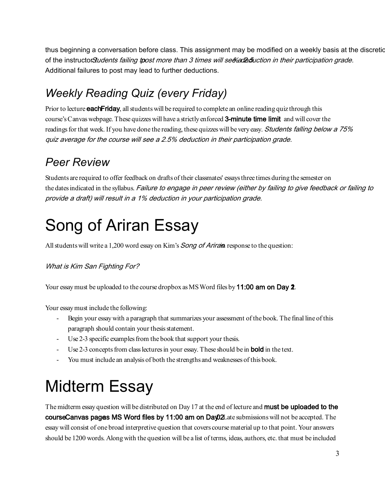thus beginning a conversation before class. This assignment may be modified on a weekly basis at the discretion of the instructor. Students failing to post more than 3 times will see a 2.5 wich in their participation grade. Additional failures to post may lead to further deductions.

### *Weekly Reading Quiz (every Friday)*

Prior to lecture **each Friday**, all students will be required to complete an online reading quiz through this course's Canvas webpage. These quizzes will have a strictly enforced 3-minute time limit and will cover the readings for that week. If you have done the reading, these quizzes will be very easy. Students falling below a 75% quiz average for the course will see a 2.5% deduction in their participation grade.

### *Peer Review*

Students are required to offer feedback on drafts of their classmates' essays three times during the semester on the dates indicated in the syllabus. Failure to engage in peer review (either by failing to give feedback or failing to provide a draft) will result in a 1% deduction in your participation grade.

# Song of Ariran Essay

All students will write a 1,200 word essay on Kim's *Song of Ariran* response to the question:

What is Kim San Fighting For?

Your essay must be uploaded to the course dropbox as MS Word files by 11:00 am on Day  $2$ .

Your essay must include the following:

- Begin your essay with a paragraph that summarizes your assessment of the book. The final line of this paragraph should contain your thesis statement.
- Use 2-3 specific examples from the book that support your thesis.
- Use 2-3 concepts from class lectures in your essay. These should be in **bold** in the text.
- You must include an analysis of both the strengths and weaknesses of this book.

# Midterm Essay

The midterm essay question will be distributed on Day 17 at the end of lecture and **must be uploaded to the** course Canvas pages MS Word files by 11:00 am on Day 02Late submissions will not be accepted. The essay will consist of one broad interpretive question that covers course material up to that point. Your answers should be 1200 words. Along with the question will be a list of terms, ideas, authors, etc. that must be included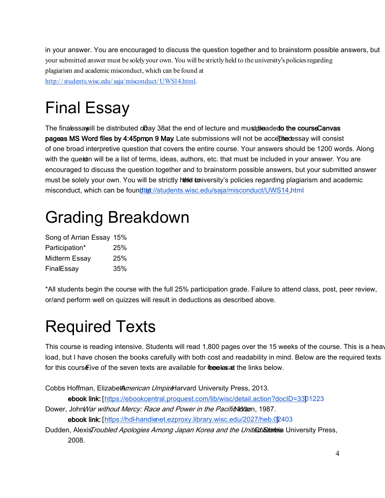in your answer. You are encouraged to discuss the question together and to brainstorm possible answers, but your submitted answer must be solely your own. You will be strictly held to the university's policies regarding plagiarism and academic misconduct, which can be found at [http:// students.wisc.edu/ saja/misconduct/UWS14.html.](http://students.wisc.edu/saja/misconduct/UWS14.html)

# Final Essay

The final essay ill be distributed on Day 38 at the end of lecture and must pleaded to the course Canvas pageas MS Word files by 4:45pm, 9 May. Late submissions will not be acceptedessay will consist of one broad interpretive question that covers the entire course. Your answers should be 1200 words. Along with the quest in will be a list of terms, ideas, authors, etc. that must be included in your answer. You are encouraged to discuss the question together and to brainstorm possible answers, but your submitted answer must be solely your own. You will be strictly held to the university's policies regarding plagiarism and academic misconduct, which can be found that //students.wisc.edu/saja/misconduct/UWS14.html

## Grading Breakdown

| Song of Arrian Essay 15% |     |
|--------------------------|-----|
| Participation*           | 25% |
| Midterm Essay            | 25% |
| FinalEssay               | 35% |

\*All students begin the course with the full 25% participation grade. Failure to attend class, post, peer review, or/and perform well on quizzes will result in deductions as described above.

## Required Texts

This course is reading intensive. Students will read 1,800 pages over the 15 weeks of the course. This is a heav load, but I have chosen the books carefully with both cost and readability in mind. Below are the required texts for this course live of the seven texts are available for free less at the links below.

```
Cobbs Hoffman, ElizabetAmerican UmpireHarvard University Press, 2013.
```
ebook link: [\[https://ebookcentral.proquest.com/lib/wisc/detail.action?docID=330](https://ebookcentral.proquest.com/lib/wisc/detail.action?docID=3301223)1223 ]

Dower, John War without Mercy: Race and Power in the Pacific Wartson, 1987.

ebook link: [https://hdl-handlenet.ezproxy.library.wisc.edu/2027/heb.02403

Dudden, Alexis*Troubled Apologies Among Japan Korea and the United Stanteis* University Press, 2008.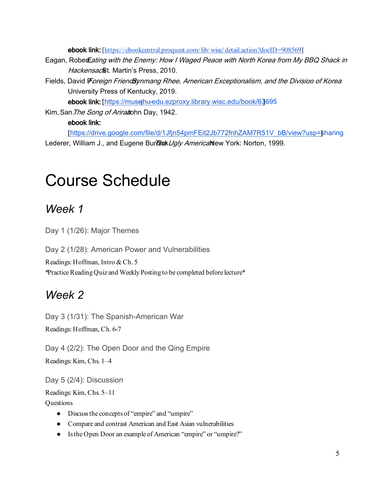ebook link: [\[https://ebookcentral.proquest.com/lib/ wisc/detail.action?docID=908569\]](https://ebookcentral.proquest.com/lib/wisc/detail.action?docID=908569)

- Eagan, Rober Eating with the Enemy: How I Waged Peace with North Korea from My BBQ Shack in Hackensac<sup>®</sup>t. Martin's Press, 2010.
- Fields, David Foreign Friend Synmang Rhee, American Exceptionalism, and the Division of Korea University Press of Kentucky, 2019.

ebook link: [https://musejhu-edu.ezproxy.library.wisc.edu/book/63695

Kim, San. The Song of Ariradohn Day, 1942.

#### ebook link:

[\[https://drive.google.com/file/d/1Jfjn54pmFEit2Jb772fnhZAM7R51V\\_bB/view?usp=s](https://drive.google.com/file/d/1Jfjn54pmFEit2Jb772fnhZAM7R51V_bB/view?usp=sharing)haring ] Lederer, William J., and Eugene Burdlak Ugly Americanlew York: Norton, 1999.

### Course Schedule

#### *Week 1*

Day 1 (1/26): Major Themes

Day 2 (1/28): American Power and Vulnerabilities

Readings: Hoffman, Intro & Ch. 5

\*Practice Reading Quiz and Weekly Posting to be completed before lecture\*

#### *Week 2*

Day 3 (1/31): The Spanish-American War

Readings: Hoffman, Ch. 6-7

Day 4 (2/2): The Open Door and the Qing Empire Readings: Kim, Chs. 1–4

Day 5 (2/4): Discussion

Readings: Kim, Chs. 5–11

**Ouestions** 

- Discuss the concepts of "empire" and "umpire"
- Compare and contrast American and East Asian vulnerabilities
- Is the Open Door an example of American "empire" or "umpire?"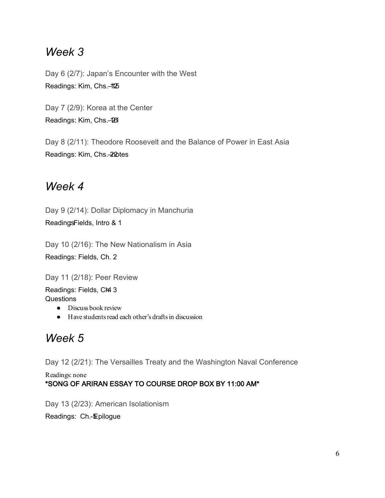#### *Week 3*

Day 6 (2/7): Japan's Encounter with the West Readings: Kim, Chs.-1125

Day 7 (2/9): Korea at the Center Readings: Kim, Chs.-28

Day 8 (2/11): Theodore Roosevelt and the Balance of Power in East Asia Readings: Kim, Chs. 22 Dtes

#### *Week 4*

Day 9 (2/14): Dollar Diplomacy in Manchuria ReadingsFields, Intro & 1

Day 10 (2/16): The New Nationalism in Asia Readings: Fields, Ch. 2

Day 11 (2/18): Peer Review

Readings: Fields, CH4 3 **Questions** 

- Discuss book review
- Have students read each other's drafts in discussion

### *Week 5*

Day 12 (2/21): The Versailles Treaty and the Washington Naval Conference

Readings: none

#### \*SONG OF ARIRAN ESSAY TO COURSE DROP BOX BY 11:00 AM\*

Day 13 (2/23): American Isolationism

Readings: Ch.-*Epilogue*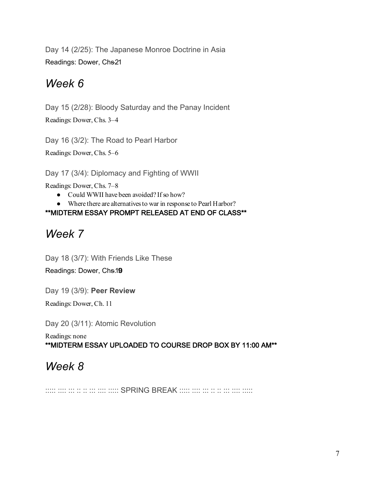Day 14 (2/25): The Japanese Monroe Doctrine in Asia Readings: Dower, Chs21

### *Week 6*

Day 15 (2/28): Bloody Saturday and the Panay Incident

Readings: Dower, Chs. 3–4

Day 16 (3/2): The Road to Pearl Harbor

Readings: Dower, Chs. 5–6

Day 17 (3/4): Diplomacy and Fighting of WWII

Readings: Dower, Chs. 7–8

- Could WWII have been avoided? If so how?
- Where there are alternatives to war in response to Pearl Harbor?

#### \*\*MIDTERM ESSAY PROMPT RELEASED AT END OF CLASS\*\*

### *Week 7*

Day 18 (3/7): With Friends Like These

Readings: Dower, Chs.19

Day 19 (3/9): **Peer Review**

Readings: Dower, Ch. 11

Day 20 (3/11): Atomic Revolution

Readings: none \*\*MIDTERM ESSAY UPLOADED TO COURSE DROP BOX BY 11:00 AM\*\*

### *Week 8*

::::: :::: ::: :: :: ::: :::: ::::: SPRING BREAK ::::: :::: ::: :: :: ::: :::: :::::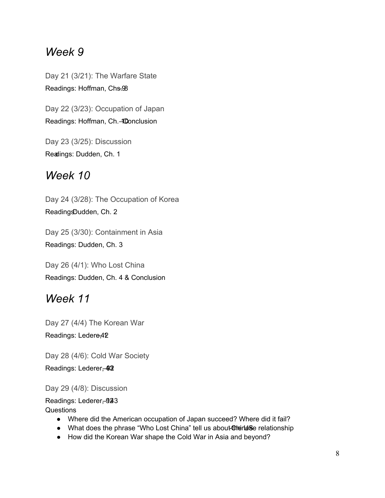#### *Week 9*

Day 21 (3/21): The Warfare State Readings: Hoffman, Chs. 98

Day 22 (3/23): Occupation of Japan Readings: Hoffman, Ch. 40 onclusion

Day 23 (3/25): Discussion Readings: Dudden, Ch. 1

### *Week 10*

Day 24 (3/28): The Occupation of Korea ReadingsDudden, Ch. 2

Day 25 (3/30): Containment in Asia Readings: Dudden, Ch. 3

Day 26 (4/1): Who Lost China Readings: Dudden, Ch. 4 & Conclusion

#### *Week 11*

Day 27 (4/4) The Korean War Readings: Ledere, 42

Day 28 (4/6): Cold War Society Readings: Lederer, 42

Day 29 (4/8): Discussion

Readings: Lederer, 923 **Questions** 

- Where did the American occupation of Japan succeed? Where did it fail?
- What does the phrase "Who Lost China" tell us about the US -Chationship
- How did the Korean War shape the Cold War in Asia and beyond?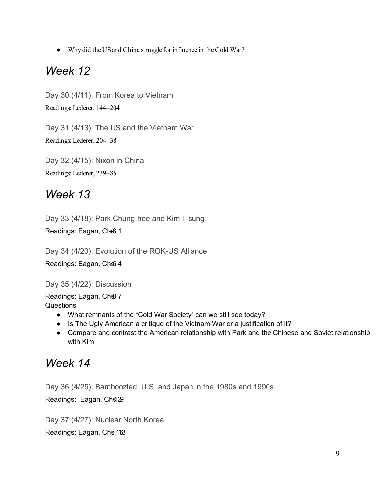● Why did the US and China struggle for influence in the Cold War?

#### *Week 12*

Day 30 (4/11): From Korea to Vietnam Readings: Lederer, 144–204

Day 31 (4/13): The US and the Vietnam War Readings: Lederer, 204–38

Day 32 (4/15): Nixon in China Readings: Lederer, 239–85

#### *Week 13*

Day 33 (4/18): Park Chung-hee and Kim Il-sung

Readings: Eagan, Chs3 1

Day 34 (4/20): Evolution of the ROK-US Alliance

Readings: Eagan, Chs6 4

Day 35 (4/22): Discussion

Readings: Eagan, Chs8 7 **Questions** 

- What remnants of the "Cold War Society" can we still see today?
- Is The Ugly American a critique of the Vietnam War or a justification of it?
- Compare and contrast the American relationship with Park and the Chinese and Soviet relationship with Kim

#### *Week 14*

Day 36 (4/25): Bamboozled: U.S. and Japan in the 1980s and 1990s

Readings: Eagan, Chsl.29

Day 37 (4/27): Nuclear North Korea

Readings: Eagan, Chs. 163